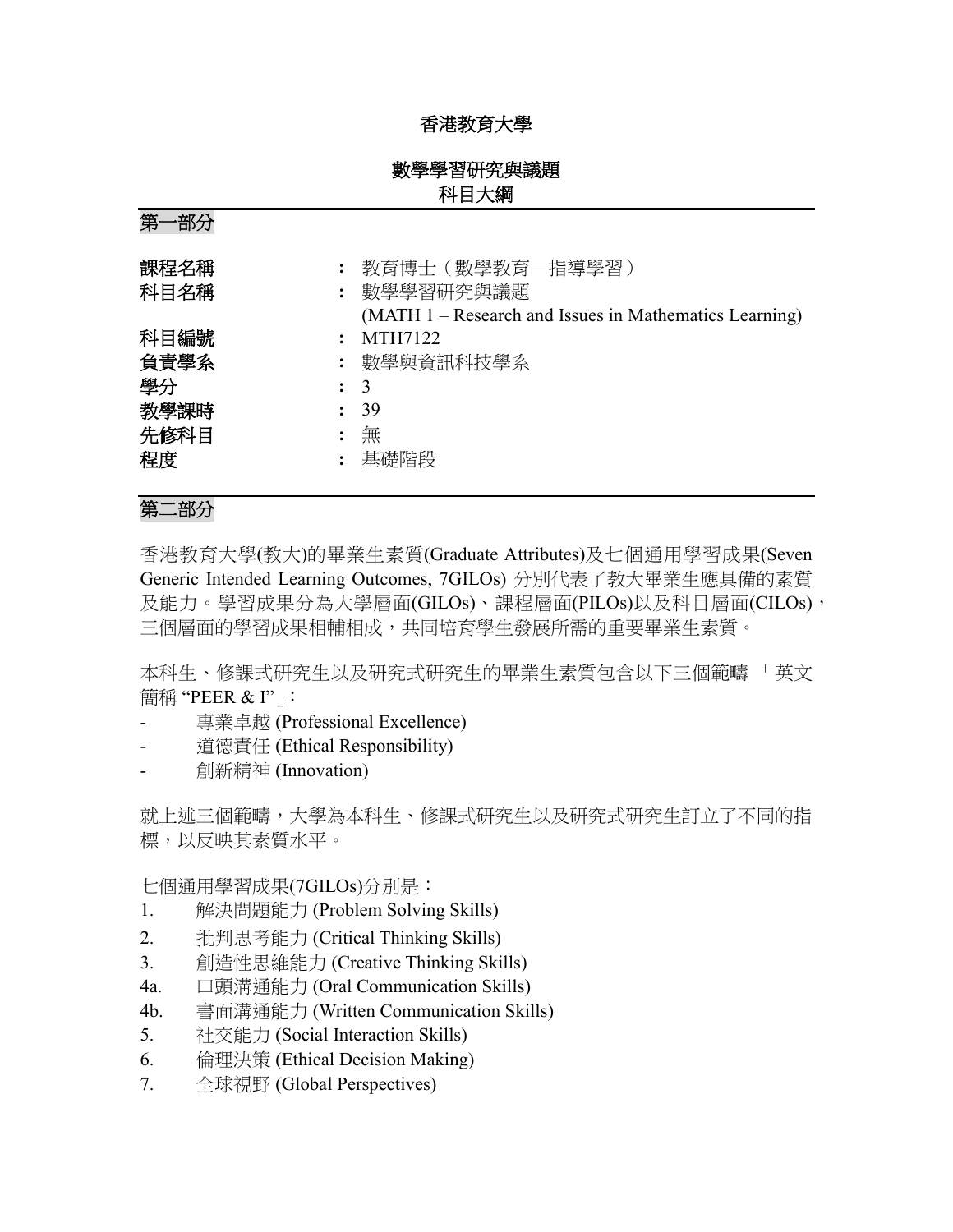# 香港教育大學

# 數學學習研究與議題 科目大綱

第一部分

| 課程名稱<br>科目名稱 | 教育博士(數學教育—指導學習)<br>: 數學學習研究與議題<br>(MATH 1 – Research and Issues in Mathematics Learning) |
|--------------|------------------------------------------------------------------------------------------|
| 科目編號         | MTH7122                                                                                  |
| 負責學系         | : 數學與資訊科技學系                                                                              |
| 學分           | $\colon$ 3                                                                               |
| 教學課時         | 39                                                                                       |
| 先修科目         | 無                                                                                        |
| 程度           | 基礎階段                                                                                     |

# 第二部分

香港教育大學(教大)的畢業生素質(Graduate Attributes)及七個通用學習成果(Seven Generic Intended Learning Outcomes, 7GILOs) 分別代表了教大畢業生應具備的素質 及能力。學習成果分為大學層面(GILOs)、課程層面(PILOs)以及科目層面(CILOs), 三個層面的學習成果相輔相成,共同培育學生發展所需的重要畢業生素質。

本科生、修課式研究生以及研究式研究生的畢業生素質包含以下三個範疇 「英文 簡稱 "PEER & I"」:

- 專業卓越 (Professional Excellence)
- 道德責任 (Ethical Responsibility)
- 創新精神 (Innovation)

就上述三個範疇,大學為本科生、修課式研究生以及研究式研究生訂立了不同的指 標,以反映其素質水平。

七個通用學習成果(7GILOs)分別是:

- 1. 解決問題能力 (Problem Solving Skills)
- 2. 批判思考能力 (Critical Thinking Skills)
- 3. 創造性思維能力 (Creative Thinking Skills)
- 4a. 口頭溝通能力 (Oral Communication Skills)
- 4b. 書面溝通能力 (Written Communication Skills)
- 5. 社交能力 (Social Interaction Skills)
- 6. 倫理決策 (Ethical Decision Making)
- 7. 全球視野 (Global Perspectives)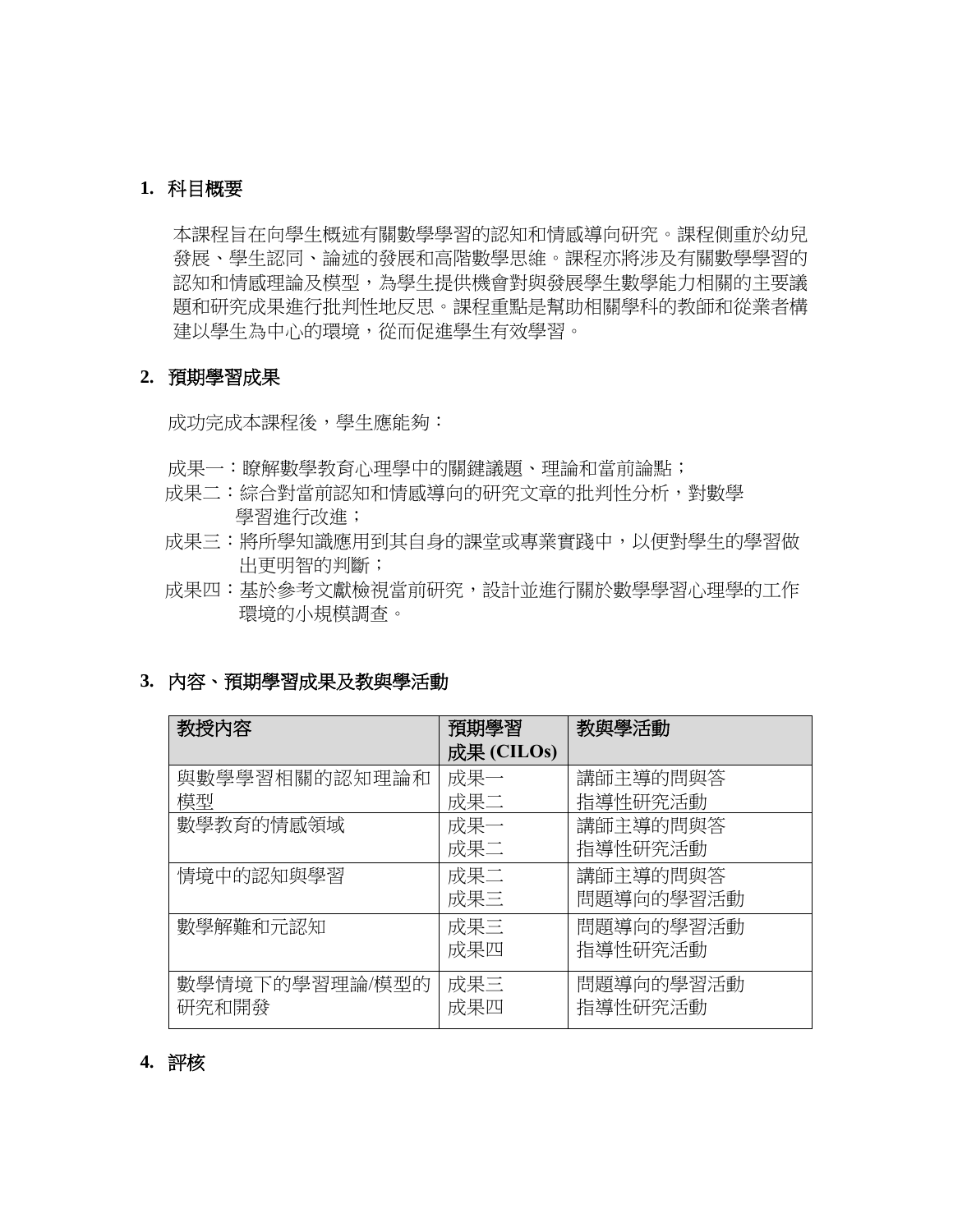### **1.** 科目概要

本課程旨在向學生概述有關數學學習的認知和情感導向研究。課程側重於幼兒 發展、學生認同、論述的發展和高階數學思維。課程亦將涉及有關數學學習的 認知和情感理論及模型,為學生提供機會對與發展學生數學能力相關的主要議 題和研究成果進行批判性地反思。課程重點是幫助相關學科的教師和從業者構 建以學生為中心的環境,從而促進學生有效學習。

### **2.** 預期學習成果

成功完成本課程後,學生應能夠:

- 成果一:瞭解數學教育心理學中的關鍵議題、理論和當前論點;
- 成果二:綜合對當前認知和情感導向的研究文章的批判性分析,對數學 學習進行改進;
- 成果三:將所學知識應用到其自身的課堂或專業實踐中,以便對學生的學習做 出更明智的判斷;
- 成果四:基於參考文獻檢視當前研究,設計並進行關於數學學習心理學的工作 環境的小規模調查。

## **3.** 內容、預期學習成果及教與學活動

| 教授内容           | 預期學習       | 教與學活動     |
|----------------|------------|-----------|
|                | 成果 (CILOs) |           |
| 與數學學習相關的認知理論和  | 成果一        | 講師主導的問與答  |
| 模型             | 成果二        | 指導性研究活動   |
| 數學教育的情感領域      | 成果一        | 講師主導的問與答  |
|                | 成果二        | 指導性研究活動   |
| 情境中的認知與學習      | 成果二        | 講師主導的問與答  |
|                | 成果三        | 問題導向的學習活動 |
| 數學解難和元認知       | 成果三        | 問題導向的學習活動 |
|                | 成果四        | 指導性研究活動   |
| 數學情境下的學習理論/模型的 | 成果三        | 問題導向的學習活動 |
| 研究和開發          | 成果四        | 指導性研究活動   |

# **4.** 評核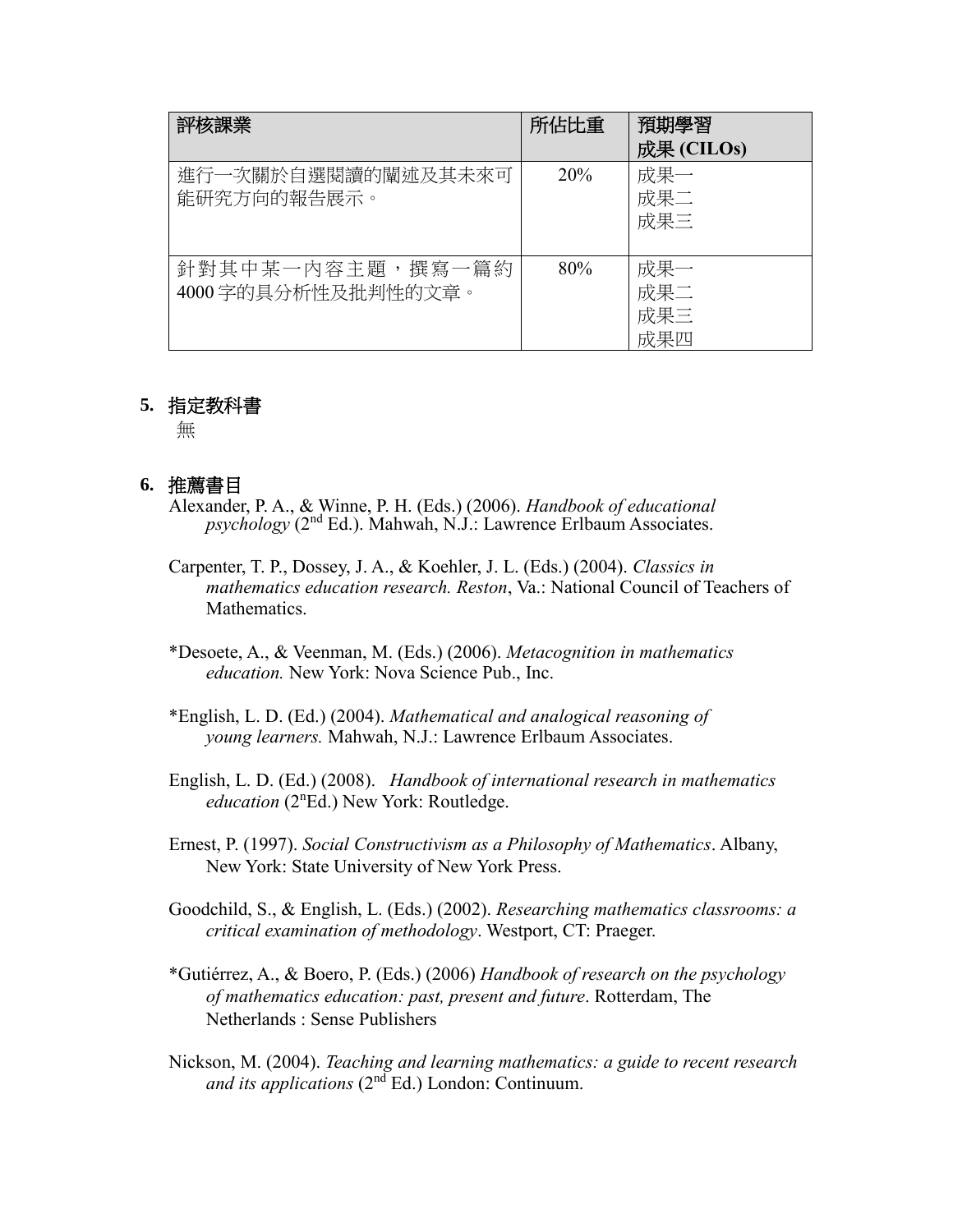| 評核課業                                    | 所佔比重            | 預期學習<br>成果 (CILOs)       |
|-----------------------------------------|-----------------|--------------------------|
| 進行一次關於自選閱讀的闡述及其未來可<br>能研究方向的報告展示。       | 20 <sup>%</sup> | 成果一<br>成果二<br>成果三        |
| 針對其中某一內容主題,撰寫一篇約<br>4000 字的具分析性及批判性的文章。 | 80%             | 成果一<br>成果二<br>成果三<br>成果四 |

#### **5.** 指定教科書

無

### **6.** 推薦書目

- Alexander, P. A., & Winne, P. H. (Eds.) (2006). *Handbook of educational psychology* (2nd Ed.). Mahwah, N.J.: Lawrence Erlbaum Associates.
- Carpenter, T. P., Dossey, J. A., & Koehler, J. L. (Eds.) (2004). *Classics in mathematics education research. Reston*, Va.: National Council of Teachers of Mathematics.
- \*Desoete, A., & Veenman, M. (Eds.) (2006). *Metacognition in mathematics education.* New York: Nova Science Pub., Inc.
- \*English, L. D. (Ed.) (2004). *Mathematical and analogical reasoning of young learners.* Mahwah, N.J.: Lawrence Erlbaum Associates.
- English, L. D. (Ed.) (2008). *Handbook of international research in mathematics education* (2<sup>n</sup>Ed.) New York: Routledge.
- Ernest, P. (1997). *Social Constructivism as a Philosophy of Mathematics*. Albany, New York: State University of New York Press.
- Goodchild, S., & English, L. (Eds.) (2002). *Researching mathematics classrooms: a critical examination of methodology*. Westport, CT: Praeger.
- \*Gutiérrez, A., & Boero, P. (Eds.) (2006) *Handbook of research on the psychology of mathematics education: past, present and future*. Rotterdam, The Netherlands : Sense Publishers
- Nickson, M. (2004). *Teaching and learning mathematics: a guide to recent research and its applications* (2nd Ed.) London: Continuum.